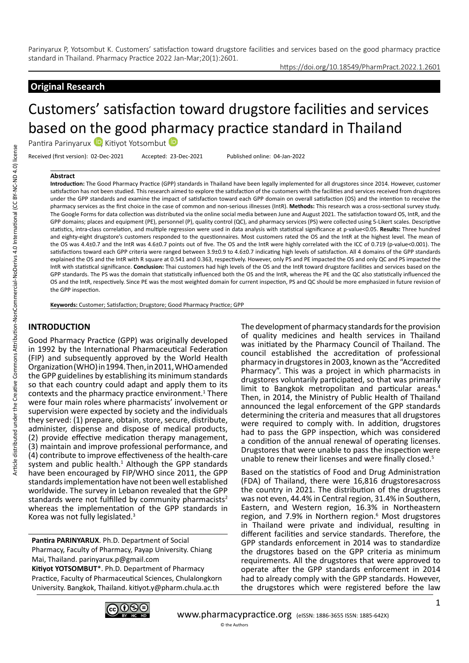## **Original Research**

https://doi.org/10.18549/PharmPract.2022.1.2601

# Customers' satisfaction toward drugstore facilities and services based on the good p[har](https://orcid.org/0000-0001-5475-6944)macy practice standard in Thailand

Pantira Parinyarux D Kitiyot Yotsombut

Received (first version): 02-Dec-2021 Accepted: 23-Dec-2021 Published online: 04-Jan-2022

#### **Abstract**

**Introduction:** The Good Pharmacy Practice (GPP) standards in Thailand have been legally implemented for all drugstores since 2014. However, customer satisfaction has not been studied. This research aimed to explore the satisfaction of the customers with the facilities and services received from drugstores under the GPP standards and examine the impact of satisfaction toward each GPP domain on overall satisfaction (OS) and the intention to receive the pharmacy services as the first choice in the case of common and non-serious illnesses (IntR). **Methods:** This research was a cross-sectional survey study. The Google Forms for data collection was distributed via the online social media between June and August 2021. The satisfaction toward OS, IntR, and the GPP domains; places and equipment (PE), personnel (P), quality control (QC), and pharmacy services (PS) were collected using 5-Likert scales. Descriptive statistics, intra-class correlation, and multiple regression were used in data analysis with statistical significance at p-value<0.05. **Results:** Three hundred and eighty-eight drugstore's customers responded to the questionnaires. Most customers rated the OS and the IntR at the highest level. The mean of the OS was 4.4±0.7 and the IntR was 4.6±0.7 points out of five. The OS and the IntR were highly correlated with the ICC of 0.719 (p-value<0.001). The satisfactions toward each GPP criteria were ranged between 3.9±0.9 to 4.6±0.7 indicating high levels of satisfaction. All 4 domains of the GPP standards explained the OS and the IntR with R square at 0.541 and 0.363, respectively. However, only PS and PE impacted the OS and only QC and PS impacted the IntR with statistical significance. **Conclusion:** Thai customers had high levels of the OS and the IntR toward drugstore facilities and services based on the GPP standards. The PS was the domain that statistically influenced both the OS and the IntR, whereas the PE and the QC also statistically influenced the OS and the IntR, respectively. Since PE was the most weighted domain for current inspection, PS and QC should be more emphasized in future revision of the GPP inspection.

**Keywords:** Customer; Satisfaction; Drugstore; Good Pharmacy Practice; GPP

#### **INTRODUCTION**

Good Pharmacy Practice (GPP) was originally developed in 1992 by the International Pharmaceutical Federation (FIP) and subsequently approved by the World Health Organization (WHO) in 1994. Then, in 2011, WHO amended the GPP guidelines by establishing its minimum standards so that each country could adapt and apply them to its contexts and the pharmacy practice environment. $1$  There were four main roles where pharmacists' involvement or supervision were expected by society and the individuals they served: (1) prepare, obtain, store, secure, distribute, administer, dispense and dispose of medical products, (2) provide effective medication therapy management, (3) maintain and improve professional performance, and (4) contribute to improve effectiveness of the health-care system and public health. $<sup>1</sup>$  Although the GPP standards</sup> have been encouraged by FIP/WHO since 2011, the GPP standards implementation have not been well established worldwide. The survey in Lebanon revealed that the GPP standards were not fulfilled by community pharmacists<sup>2</sup> whereas the implementation of the GPP standards in Korea was not fully legislated.3

**Pantira PARINYARUX**. Ph.D. Department of Social Pharmacy, Faculty of Pharmacy, Payap University. Chiang Mai, Thailand. parinyarux.p@gmail.com **Kitiyot YOTSOMBUT**\*. Ph.D. Department of Pharmacy Practice, Faculty of Pharmaceutical Sciences, Chulalongkorn University. Bangkok, Thailand. kitiyot.y@pharm.chula.ac.th

The development of pharmacy standards for the provision of quality medicines and health services in Thailand was initiated by the Pharmacy Council of Thailand. The council established the accreditation of professional pharmacy in drugstores in 2003, known as the "Accredited Pharmacy". This was a project in which pharmacists in drugstores voluntarily participated, so that was primarily limit to Bangkok metropolitan and particular areas.<sup>4</sup> Then, in 2014, the Ministry of Public Health of Thailand announced the legal enforcement of the GPP standards determining the criteria and measures that all drugstores were required to comply with. In addition, drugstores had to pass the GPP inspection, which was considered a condition of the annual renewal of operating licenses. Drugstores that were unable to pass the inspection were unable to renew their licenses and were finally closed.<sup>5</sup>

Based on the statistics of Food and Drug Administration (FDA) of Thailand, there were 16,816 drugstoresacross the country in 2021. The distribution of the drugstores was not even, 44.4% in Central region, 31.4% in Southern, Eastern, and Western region, 16.3% in Northeastern region, and 7.9% in Northern region.<sup>6</sup> Most drugstores in Thailand were private and individual, resulting in different facilities and service standards. Therefore, the GPP standards enforcement in 2014 was to standardize the drugstores based on the GPP criteria as minimum requirements. All the drugstores that were approved to operate after the GPP standards enforcement in 2014 had to already comply with the GPP standards. However, the drugstores which were registered before the law

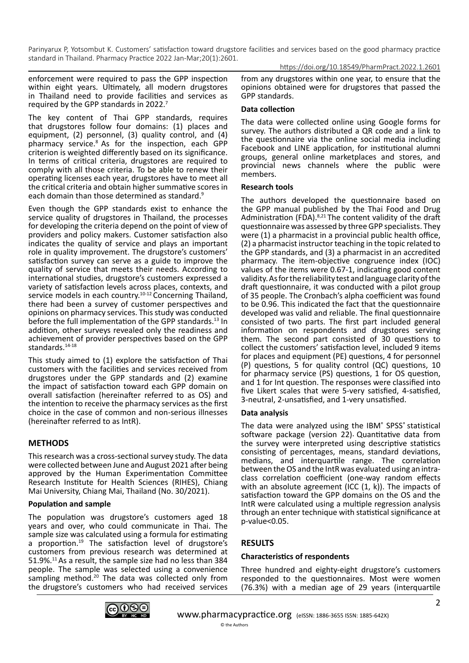https://doi.org/10.18549/PharmPract.2022.1.2601

enforcement were required to pass the GPP inspection within eight years. Ultimately, all modern drugstores in Thailand need to provide facilities and services as required by the GPP standards in 2022.7

The key content of Thai GPP standards, requires that drugstores follow four domains: (1) places and equipment, (2) personnel, (3) quality control, and (4) pharmacy service.8 As for the inspection, each GPP criterion is weighted differently based on its significance. In terms of critical criteria, drugstores are required to comply with all those criteria. To be able to renew their operating licenses each year, drugstores have to meet all the critical criteria and obtain higher summative scores in each domain than those determined as standard.<sup>9</sup>

Even though the GPP standards exist to enhance the service quality of drugstores in Thailand, the processes for developing the criteria depend on the point of view of providers and policy makers. Customer satisfaction also indicates the quality of service and plays an important role in quality improvement. The drugstore's customers' satisfaction survey can serve as a guide to improve the quality of service that meets their needs. According to international studies, drugstore's customers expressed a variety of satisfaction levels across places, contexts, and service models in each country.<sup>10-12</sup> Concerning Thailand, there had been a survey of customer perspectives and opinions on pharmacy services. This study was conducted before the full implementation of the GPP standards.<sup>13</sup> In addition, other surveys revealed only the readiness and achievement of provider perspectives based on the GPP standards.<sup>14-18</sup>

This study aimed to (1) explore the satisfaction of Thai customers with the facilities and services received from drugstores under the GPP standards and (2) examine the impact of satisfaction toward each GPP domain on overall satisfaction (hereinafter referred to as OS) and the intention to receive the pharmacy services as the first choice in the case of common and non-serious illnesses (hereinafter referred to as IntR).

## **METHODS**

This research was a cross-sectional survey study. The data were collected between June and August 2021 after being approved by the Human Experimentation Committee Research Institute for Health Sciences (RIHES), Chiang Mai University, Chiang Mai, Thailand (No. 30/2021).

### **Population and sample**

The population was drugstore's customers aged 18 years and over, who could communicate in Thai. The sample size was calculated using a formula for estimating a proportion.<sup>19</sup> The satisfaction level of drugstore's customers from previous research was determined at 51.9%.11 As a result, the sample size had no less than 384 people. The sample was selected using a convenience sampling method.<sup>20</sup> The data was collected only from the drugstore's customers who had received services from any drugstores within one year, to ensure that the opinions obtained were for drugstores that passed the GPP standards.

### **Data collection**

The data were collected online using Google forms for survey. The authors distributed a QR code and a link to the questionnaire via the online social media including Facebook and LINE application, for institutional alumni groups, general online marketplaces and stores, and provincial news channels where the public were members.

#### **Research tools**

The authors developed the questionnaire based on the GPP manual published by the Thai Food and Drug Administration (FDA).<sup>8,21</sup> The content validity of the draft questionnaire was assessed by three GPP specialists. They were (1) a pharmacist in a provincial public health office, (2) a pharmacist instructor teaching in the topic related to the GPP standards, and (3) a pharmacist in an accredited pharmacy. The item-objective congruence index (IOC) values of the items were 0.67-1, indicating good content validity. As for the reliability test and language clarity of the draft questionnaire, it was conducted with a pilot group of 35 people. The Cronbach's alpha coefficient was found to be 0.96. This indicated the fact that the questionnaire developed was valid and reliable. The final questionnaire consisted of two parts. The first part included general information on respondents and drugstores serving them. The second part consisted of 30 questions to collect the customers' satisfaction level, included 9 items for places and equipment (PE) questions, 4 for personnel (P) questions, 5 for quality control (QC) questions, 10 for pharmacy service (PS) questions, 1 for OS question, and 1 for Int question. The responses were classified into five Likert scales that were 5-very satisfied, 4-satisfied, 3-neutral, 2-unsatisfied, and 1-very unsatisfied.

### **Data analysis**

The data were analyzed using the IBM® SPSS® statistical software package (version 22). Quantitative data from the survey were interpreted using descriptive statistics consisting of percentages, means, standard deviations, medians, and interquartile range. The correlation between the OS and the IntR was evaluated using an intraclass correlation coefficient (one-way random effects with an absolute agreement (ICC  $(1, k)$ ). The impacts of satisfaction toward the GPP domains on the OS and the IntR were calculated using a multiple regression analysis through an enter technique with statistical significance at p-value<0.05.

## **RESULTS**

### **Characteristics of respondents**

Three hundred and eighty-eight drugstore's customers responded to the questionnaires. Most were women (76.3%) with a median age of 29 years (interquartile

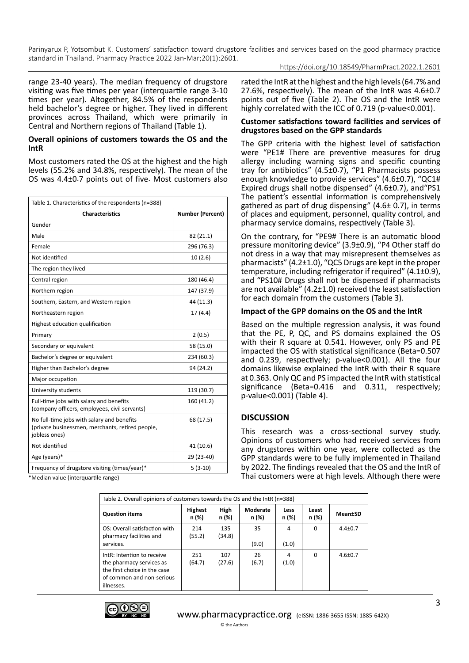https://doi.org/10.18549/PharmPract.2022.1.2601

range 23-40 years). The median frequency of drugstore visiting was five times per year (interquartile range 3-10 times per year). Altogether, 84.5% of the respondents held bachelor's degree or higher. They lived in different provinces across Thailand, which were primarily in Central and Northern regions of Thailand (Table 1).

#### **Overall opinions of customers towards the OS and the IntR**

Most customers rated the OS at the highest and the high levels (55.2% and 34.8%, respectively). The mean of the OS was 4.4±0.7 points out of five. Most customers also

| Table 1. Characteristics of the respondents (n=388)                                                             |                         |  |  |  |  |
|-----------------------------------------------------------------------------------------------------------------|-------------------------|--|--|--|--|
| <b>Characteristics</b>                                                                                          | <b>Number (Percent)</b> |  |  |  |  |
| Gender                                                                                                          |                         |  |  |  |  |
| Male                                                                                                            | 82 (21.1)               |  |  |  |  |
| Female                                                                                                          | 296 (76.3)              |  |  |  |  |
| Not identified                                                                                                  | 10(2.6)                 |  |  |  |  |
| The region they lived                                                                                           |                         |  |  |  |  |
| Central region                                                                                                  | 180 (46.4)              |  |  |  |  |
| Northern region                                                                                                 | 147 (37.9)              |  |  |  |  |
| Southern, Eastern, and Western region                                                                           | 44 (11.3)               |  |  |  |  |
| Northeastern region                                                                                             | 17 (4.4)                |  |  |  |  |
| Highest education qualification                                                                                 |                         |  |  |  |  |
| Primary                                                                                                         | 2(0.5)                  |  |  |  |  |
| Secondary or equivalent                                                                                         | 58 (15.0)               |  |  |  |  |
| Bachelor's degree or equivalent                                                                                 | 234 (60.3)              |  |  |  |  |
| Higher than Bachelor's degree                                                                                   | 94 (24.2)               |  |  |  |  |
| Major occupation                                                                                                |                         |  |  |  |  |
| University students                                                                                             | 119 (30.7)              |  |  |  |  |
| Full-time jobs with salary and benefits<br>(company officers, employees, civil servants)                        | 160 (41.2)              |  |  |  |  |
| No full-time jobs with salary and benefits<br>(private businessmen, merchants, retired people,<br>jobless ones) | 68 (17.5)               |  |  |  |  |
| Not identified                                                                                                  | 41 (10.6)               |  |  |  |  |
| Age (years)*                                                                                                    | 29 (23-40)              |  |  |  |  |
| Frequency of drugstore visiting (times/year)*                                                                   | $5(3-10)$               |  |  |  |  |
| *Median value (interguartile range)                                                                             |                         |  |  |  |  |

rated the IntR at the highest and the high levels (64.7% and 27.6%, respectively). The mean of the IntR was 4.6±0.7 points out of five (Table 2). The OS and the IntR were highly correlated with the ICC of 0.719 (p-value<0.001).

#### **Customer satisfactions toward facilities and services of drugstores based on the GPP standards**

The GPP criteria with the highest level of satisfaction were "PE1# There are preventive measures for drug allergy including warning signs and specific counting tray for antibiotics" (4.5±0.7), "P1 Pharmacists possess enough knowledge to provide services" (4.6±0.7), "QC1# Expired drugs shall notbe dispensed" (4.6±0.7), and"PS1 The patient's essential information is comprehensively gathered as part of drug dispensing" (4.6± 0.7), in terms of places and equipment, personnel, quality control, and pharmacy service domains, respectively (Table 3).

On the contrary, for "PE9# There is an automatic blood pressure monitoring device" (3.9±0.9), "P4 Other staff do not dress in a way that may misrepresent themselves as pharmacists" (4.2±1.0), "QC5 Drugs are kept in the proper temperature, including refrigerator if required" (4.1±0.9), and "PS10# Drugs shall not be dispensed if pharmacists are not available" (4.2±1.0) received the least satisfaction for each domain from the customers (Table 3).

### **Impact of the GPP domains on the OS and the IntR**

Based on the multiple regression analysis, it was found that the PE, P, QC, and PS domains explained the OS with their R square at 0.541. However, only PS and PE impacted the OS with statistical significance (Beta=0.507 and 0.239, respectively; p-value<0.001). All the four domains likewise explained the IntR with their R square at 0.363. Only QC and PS impacted the IntR with statistical significance (Beta=0.416 and 0.311, respectively; p-value<0.001) (Table 4).

### **DISCUSSION**

This research was a cross-sectional survey study. Opinions of customers who had received services from any drugstores within one year, were collected as the GPP standards were to be fully implemented in Thailand by 2022. The findings revealed that the OS and the IntR of Thai customers were at high levels. Although there were

| Table 2. Overall opinions of customers towards the OS and the IntR (n=388)                                                        |                         |               |                   |               |                |               |
|-----------------------------------------------------------------------------------------------------------------------------------|-------------------------|---------------|-------------------|---------------|----------------|---------------|
| <b>Question items</b>                                                                                                             | <b>Highest</b><br>n (%) | High<br>n (%) | Moderate<br>n (%) | Less<br>n (%) | Least<br>n (%) | MeantSD       |
| OS: Overall satisfaction with<br>pharmacy facilities and<br>services.                                                             | 214<br>(55.2)           | 135<br>(34.8) | 35<br>(9.0)       | 4<br>(1.0)    | 0              | $4.4 \pm 0.7$ |
| IntR: Intention to receive<br>the pharmacy services as<br>the first choice in the case<br>of common and non-serious<br>illnesses. | 251<br>(64.7)           | 107<br>(27.6) | 26<br>(6.7)       | 4<br>(1.0)    | <sup>0</sup>   | $4.6 \pm 0.7$ |

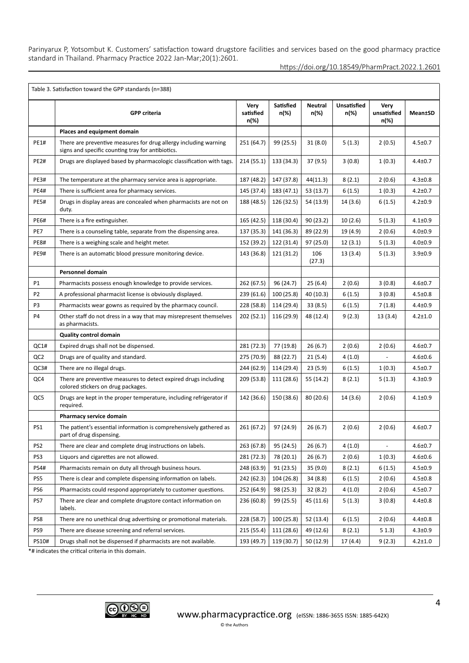|                 | Table 3. Satisfaction toward the GPP standards (n=388)                                                                |                           |                          |                        |                            |                             |               |
|-----------------|-----------------------------------------------------------------------------------------------------------------------|---------------------------|--------------------------|------------------------|----------------------------|-----------------------------|---------------|
|                 | <b>GPP criteria</b>                                                                                                   | Very<br>satisfied<br>n(%) | <b>Satisfied</b><br>n(%) | <b>Neutral</b><br>n(%) | <b>Unsatisfied</b><br>n(%) | Very<br>unsatisfied<br>n(%) | Mean±SD       |
|                 | Places and equipment domain                                                                                           |                           |                          |                        |                            |                             |               |
| <b>PE1#</b>     | There are preventive measures for drug allergy including warning<br>signs and specific counting tray for antibiotics. | 251 (64.7)                | 99 (25.5)                | 31(8.0)                | 5(1.3)                     | 2(0.5)                      | $4.5 \pm 0.7$ |
| <b>PE2#</b>     | Drugs are displayed based by pharmacologic classification with tags.                                                  | 214(55.1)                 | 133 (34.3)               | 37(9.5)                | 3(0.8)                     | 1(0.3)                      | $4.4 \pm 0.7$ |
| <b>PE3#</b>     | The temperature at the pharmacy service area is appropriate.                                                          | 187 (48.2)                | 147 (37.8)               | 44(11.3)               | 8(2.1)                     | 2(0.6)                      | $4.3 \pm 0.8$ |
| <b>PE4#</b>     | There is sufficient area for pharmacy services.                                                                       | 145 (37.4)                | 183 (47.1)               | 53(13.7)               | 6(1.5)                     | 1(0.3)                      | $4.2 \pm 0.7$ |
| <b>PE5#</b>     | Drugs in display areas are concealed when pharmacists are not on<br>duty.                                             | 188 (48.5)                | 126 (32.5)               | 54 (13.9)              | 14(3.6)                    | 6(1.5)                      | $4.2 \pm 0.9$ |
| <b>PE6#</b>     | There is a fire extinguisher.                                                                                         | 165 (42.5)                | 118 (30.4)               | 90(23.2)               | 10(2.6)                    | 5(1.3)                      | $4.1 \pm 0.9$ |
| PE7             | There is a counseling table, separate from the dispensing area.                                                       | 137 (35.3)                | 141 (36.3)               | 89 (22.9)              | 19 (4.9)                   | 2(0.6)                      | $4.0 + 0.9$   |
| <b>PE8#</b>     | There is a weighing scale and height meter.                                                                           | 152 (39.2)                | 122 (31.4)               | 97 (25.0)              | 12(3.1)                    | 5(1.3)                      | $4.0 + 0.9$   |
| <b>PE9#</b>     | There is an automatic blood pressure monitoring device.                                                               |                           | 121 (31.2)               | 106<br>(27.3)          | 13(3.4)                    | 5(1.3)                      | $3.9 + 0.9$   |
|                 | <b>Personnel domain</b>                                                                                               |                           |                          |                        |                            |                             |               |
| P1              | Pharmacists possess enough knowledge to provide services.                                                             | 262 (67.5)                | 96 (24.7)                | 25(6.4)                | 2(0.6)                     | 3(0.8)                      | $4.6 \pm 0.7$ |
| P <sub>2</sub>  | A professional pharmacist license is obviously displayed.                                                             | 239 (61.6)                | 100 (25.8)               | 40 (10.3)              | 6(1.5)                     | 3(0.8)                      | $4.5 \pm 0.8$ |
| P3              | Pharmacists wear gowns as required by the pharmacy council.                                                           | 228 (58.8)                | 114 (29.4)               | 33(8.5)                | 6(1.5)                     | 7(1.8)                      | $4.4 \pm 0.9$ |
| P4              | Other staff do not dress in a way that may misrepresent themselves<br>as pharmacists.                                 | 202 (52.1)                | 116 (29.9)               | 48 (12.4)              | 9(2.3)                     | 13(3.4)                     | $4.2 \pm 1.0$ |
|                 | <b>Quality control domain</b>                                                                                         |                           |                          |                        |                            |                             |               |
| QC1#            | Expired drugs shall not be dispensed.                                                                                 | 281 (72.3)                | 77 (19.8)                | 26(6.7)                | 2(0.6)                     | 2(0.6)                      | $4.6 + 0.7$   |
| QC2             | Drugs are of quality and standard.                                                                                    | 275 (70.9)                | 88 (22.7)                | 21(5.4)                | 4(1.0)                     | $\frac{1}{2}$               | $4.6 \pm 0.6$ |
| QC3#            | There are no illegal drugs.                                                                                           | 244 (62.9)                | 114 (29.4)               | 23(5.9)                | 6(1.5)                     | 1(0.3)                      | $4.5 \pm 0.7$ |
| QC4             | There are preventive measures to detect expired drugs including<br>colored stickers on drug packages.                 | 209 (53.8)                | 111 (28.6)               | 55 (14.2)              | 8(2.1)                     | 5(1.3)                      | $4.3 \pm 0.9$ |
| QC5             | Drugs are kept in the proper temperature, including refrigerator if<br>required.                                      | 142 (36.6)                | 150 (38.6)               | 80 (20.6)              | 14(3.6)                    | 2(0.6)                      | $4.1 \pm 0.9$ |
|                 | Pharmacy service domain                                                                                               |                           |                          |                        |                            |                             |               |
| PS1             | The patient's essential information is comprehensively gathered as<br>part of drug dispensing.                        | 261(67.2)                 | 97 (24.9)                | 26 (6.7)               | 2(0.6)                     | 2(0.6)                      | $4.6 \pm 0.7$ |
| PS <sub>2</sub> | There are clear and complete drug instructions on labels.                                                             | 263 (67.8)                | 95 (24.5)                | 26(6.7)                | 4(1.0)                     |                             | $4.6 + 0.7$   |
| PS3             | Liquors and cigarettes are not allowed.                                                                               | 281 (72.3)                | 78 (20.1)                | 26(6.7)                | 2(0.6)                     | 1(0.3)                      | $4.6 + 0.6$   |
| <b>PS4#</b>     | Pharmacists remain on duty all through business hours.                                                                | 248 (63.9)                | 91(23.5)                 | 35 (9.0)               | 8(2.1)                     | 6(1.5)                      | $4.5 \pm 0.9$ |
| PS5             | There is clear and complete dispensing information on labels.                                                         | 242 (62.3)                | 104 (26.8)               | 34 (8.8)               | 6(1.5)                     | 2(0.6)                      | 4.5±0.8       |
| PS6             | Pharmacists could respond appropriately to customer questions.                                                        | 252 (64.9)                | 98 (25.3)                | 32 (8.2)               | 4(1.0)                     | 2(0.6)                      | $4.5 \pm 0.7$ |
| PS7             | There are clear and complete drugstore contact information on<br>labels.                                              | 236 (60.8)                | 99 (25.5)                | 45 (11.6)              | 5(1.3)                     | 3(0.8)                      | $4.4 \pm 0.8$ |
| PS8             | There are no unethical drug advertising or promotional materials.                                                     | 228 (58.7)                | 100 (25.8)               | 52 (13.4)              | 6(1.5)                     | 2(0.6)                      | $4.4 \pm 0.8$ |
| PS9             | There are disease screening and referral services.                                                                    | 215 (55.4)                | 111 (28.6)               | 49 (12.6)              | 8(2.1)                     | 51.3)                       | $4.3 \pm 0.9$ |
| PS10#           | Drugs shall not be dispensed if pharmacists are not available.                                                        | 193 (49.7)                | 119 (30.7)               | 50 (12.9)              | 17(4.4)                    | 9(2.3)                      | $4.2 \pm 1.0$ |

\*# indicates the critical criteria in this domain.

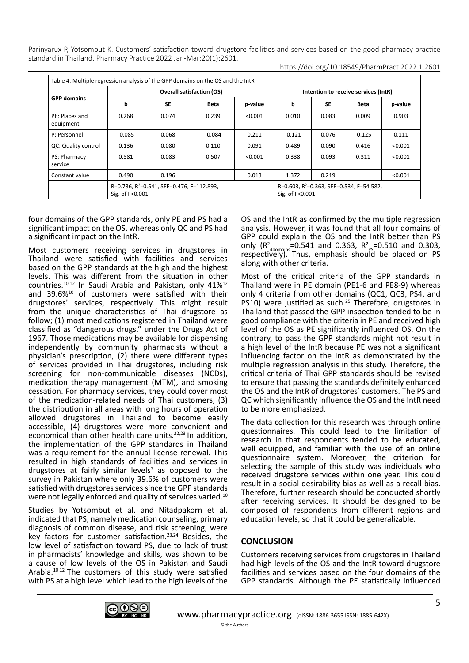| Table 4. Multiple regression analysis of the GPP domains on the OS and the IntR |                                                                          |           |             |                                                                         |                                      |           |          |         |
|---------------------------------------------------------------------------------|--------------------------------------------------------------------------|-----------|-------------|-------------------------------------------------------------------------|--------------------------------------|-----------|----------|---------|
| <b>GPP</b> domains                                                              | <b>Overall satisfaction (OS)</b>                                         |           |             |                                                                         | Intention to receive services (IntR) |           |          |         |
|                                                                                 | b                                                                        | <b>SE</b> | <b>Beta</b> | p-value                                                                 | b                                    | <b>SE</b> | Beta     | p-value |
| PE: Places and<br>equipment                                                     | 0.268                                                                    | 0.074     | 0.239       | < 0.001                                                                 | 0.010                                | 0.083     | 0.009    | 0.903   |
| P: Personnel                                                                    | $-0.085$                                                                 | 0.068     | $-0.084$    | 0.211                                                                   | $-0.121$                             | 0.076     | $-0.125$ | 0.111   |
| QC: Quality control                                                             | 0.136                                                                    | 0.080     | 0.110       | 0.091                                                                   | 0.489                                | 0.090     | 0.416    | < 0.001 |
| PS: Pharmacy<br>service                                                         | 0.581                                                                    | 0.083     | 0.507       | < 0.001                                                                 | 0.338                                | 0.093     | 0.311    | < 0.001 |
| Constant value                                                                  | 0.490                                                                    | 0.196     |             | 0.013                                                                   | 1.372                                | 0.219     |          | < 0.001 |
|                                                                                 | R=0.736, R <sup>2</sup> =0.541, SEE=0.476, F=112.893,<br>Sig. of F<0.001 |           |             | R=0.603, R <sup>2</sup> =0.363, SEE=0.534, F=54.582,<br>Sig. of F<0.001 |                                      |           |          |         |

four domains of the GPP standards, only PE and PS had a significant impact on the OS, whereas only QC and PS had a significant impact on the IntR.

Most customers receiving services in drugstores in Thailand were satisfied with facilities and services based on the GPP standards at the high and the highest levels. This was different from the situation in other countries.10,12 In Saudi Arabia and Pakistan, only 41%12 and 39.6%10 of customers were satisfied with their drugstores' services, respectively. This might result from the unique characteristics of Thai drugstore as follow; (1) most medications registered in Thailand were classified as "dangerous drugs," under the Drugs Act of 1967. Those medications may be available for dispensing independently by community pharmacists without a physician's prescription, (2) there were different types of services provided in Thai drugstores, including risk screening for non-communicable diseases (NCDs), medication therapy management (MTM), and smoking cessation. For pharmacy services, they could cover most of the medication-related needs of Thai customers, (3) the distribution in all areas with long hours of operation allowed drugstores in Thailand to become easily accessible, (4) drugstores were more convenient and economical than other health care units.<sup>22,23</sup> In addition, the implementation of the GPP standards in Thailand was a requirement for the annual license renewal. This resulted in high standards of facilities and services in drugstores at fairly similar levels<sup>7</sup> as opposed to the survey in Pakistan where only 39.6% of customers were satisfied with drugstores services since the GPP standards were not legally enforced and quality of services varied.<sup>10</sup>

Studies by Yotsombut et al. and Nitadpakorn et al. indicated that PS, namely medication counseling, primary diagnosis of common disease, and risk screening, were key factors for customer satisfaction.23,24 Besides, the low level of satisfaction toward PS, due to lack of trust in pharmacists' knowledge and skills, was shown to be a cause of low levels of the OS in Pakistan and Saudi Arabia.<sup>10,12</sup> The customers of this study were satisfied with PS at a high level which lead to the high levels of the

OS and the IntR as confirmed by the multiple regression analysis. However, it was found that all four domains of GPP could explain the OS and the IntR better than PS only  $(R^2_{.4\text{domains}} = 0.541$  and 0.363,  $R^2_{.ps} = 0.510$  and 0.303, respectively). Thus, emphasis should be placed on PS along with other criteria.

Most of the critical criteria of the GPP standards in Thailand were in PE domain (PE1-6 and PE8-9) whereas only 4 criteria from other domains (QC1, QC3, PS4, and PS10) were justified as such.<sup>25</sup> Therefore, drugstores in Thailand that passed the GPP inspection tended to be in good compliance with the criteria in PE and received high level of the OS as PE significantly influenced OS. On the contrary, to pass the GPP standards might not result in a high level of the IntR because PE was not a significant influencing factor on the IntR as demonstrated by the multiple regression analysis in this study. Therefore, the critical criteria of Thai GPP standards should be revised to ensure that passing the standards definitely enhanced the OS and the IntR of drugstores' customers. The PS and QC which significantly influence the OS and the IntR need to be more emphasized.

The data collection for this research was through online questionnaires. This could lead to the limitation of research in that respondents tended to be educated, well equipped, and familiar with the use of an online questionnaire system. Moreover, the criterion for selecting the sample of this study was individuals who received drugstore services within one year. This could result in a social desirability bias as well as a recall bias. Therefore, further research should be conducted shortly after receiving services. It should be designed to be composed of respondents from different regions and education levels, so that it could be generalizable.

## **CONCLUSION**

Customers receiving services from drugstores in Thailand had high levels of the OS and the IntR toward drugstore facilities and services based on the four domains of the GPP standards. Although the PE statistically influenced

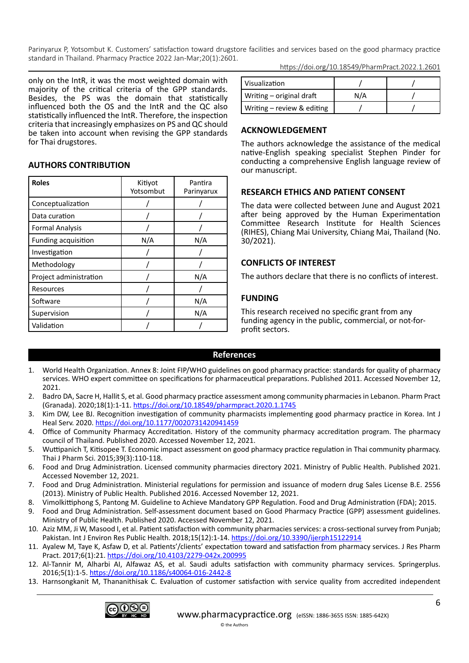only on the IntR, it was the most weighted domain with majority of the critical criteria of the GPP standards. Besides, the PS was the domain that statistically influenced both the OS and the IntR and the QC also statistically influenced the IntR. Therefore, the inspection criteria that increasingly emphasizes on PS and QC should be taken into account when revising the GPP standards for Thai drugstores.

### **AUTHORS CONTRIBUTION**

| <b>Roles</b>           | Kitiyot<br>Yotsombut | Pantira<br>Parinyarux |  |  |
|------------------------|----------------------|-----------------------|--|--|
| Conceptualization      |                      |                       |  |  |
| Data curation          |                      |                       |  |  |
| <b>Formal Analysis</b> |                      |                       |  |  |
| Funding acquisition    | N/A                  | N/A                   |  |  |
| Investigation          |                      |                       |  |  |
| Methodology            |                      |                       |  |  |
| Project administration |                      | N/A                   |  |  |
| Resources              |                      |                       |  |  |
| Software               |                      | N/A                   |  |  |
| Supervision            |                      | N/A                   |  |  |
| Validation             |                      |                       |  |  |

https://doi.org/10.18549/PharmPract.2022.1.2601

| Visualization              |     |  |
|----------------------------|-----|--|
| Writing – original draft   | N/A |  |
| Writing – review & editing |     |  |

## **ACKNOWLEDGEMENT**

The authors acknowledge the assistance of the medical native-English speaking specialist Stephen Pinder for conducting a comprehensive English language review of our manuscript.

## **RESEARCH ETHICS AND PATIENT CONSENT**

The data were collected between June and August 2021 after being approved by the Human Experimentation Committee Research Institute for Health Sciences (RIHES), Chiang Mai University, Chiang Mai, Thailand (No. 30/2021).

## **CONFLICTS OF INTEREST**

The authors declare that there is no conflicts of interest.

## **FUNDING**

This research received no specific grant from any funding agency in the public, commercial, or not-forprofit sectors.

### **References**

- 1. World Health Organization. Annex 8: Joint FIP/WHO guidelines on good pharmacy practice: standards for quality of pharmacy services. WHO expert committee on specifications for pharmaceutical preparations. Published 2011. Accessed November 12, 2021.
- 2. Badro DA, Sacre H, Hallit S, et al. Good pharmacy practice assessment among community pharmacies in Lebanon. Pharm Pract (Granada). 2020;18(1):1-11.<https://doi.org/10.18549/pharmpract.2020.1.1745>
- 3. Kim DW, Lee BJ. Recognition investigation of community pharmacists implementing good pharmacy practice in Korea. Int J Heal Serv. 2020.<https://doi.org/10.1177/0020731420941459>
- 4. Office of Community Pharmacy Accreditation. History of the community pharmacy accreditation program. The pharmacy council of Thailand. Published 2020. Accessed November 12, 2021.
- 5. Wuttipanich T, Kitisopee T. Economic impact assessment on good pharmacy practice regulation in Thai community pharmacy. Thai J Pharm Sci. 2015;39(3):110-118.
- 6. Food and Drug Administration. Licensed community pharmacies directory 2021. Ministry of Public Health. Published 2021. Accessed November 12, 2021.
- 7. Food and Drug Administration. Ministerial regulations for permission and issuance of modern drug Sales License B.E. 2556 (2013). Ministry of Public Health. Published 2016. Accessed November 12, 2021.
- 8. Vimolkittiphong S, Pantong M. Guideline to Achieve Mandatory GPP Regulation. Food and Drug Administration (FDA); 2015.
- 9. Food and Drug Administration. Self-assessment document based on Good Pharmacy Practice (GPP) assessment guidelines. Ministry of Public Health. Published 2020. Accessed November 12, 2021.
- 10. Aziz MM, Ji W, Masood I, et al. Patient satisfaction with community pharmacies services: a cross-sectional survey from Punjab; Pakistan. Int J Environ Res Public Health. 2018;15(12):1-14. <https://doi.org/10.3390/ijerph15122914>
- 11. Ayalew M, Taye K, Asfaw D, et al. Patients'/clients' expectation toward and satisfaction from pharmacy services. J Res Pharm Pract. 2017;6(1):21.<https://doi.org/10.4103/2279-042x.200995>
- 12. Al-Tannir M, Alharbi AI, Alfawaz AS, et al. Saudi adults satisfaction with community pharmacy services. Springerplus. 2016;5(1):1-5. <https://doi.org/10.1186/s40064-016-2442-8>
- 13. Harnsongkanit M, Thananithisak C. Evaluation of customer satisfaction with service quality from accredited independent